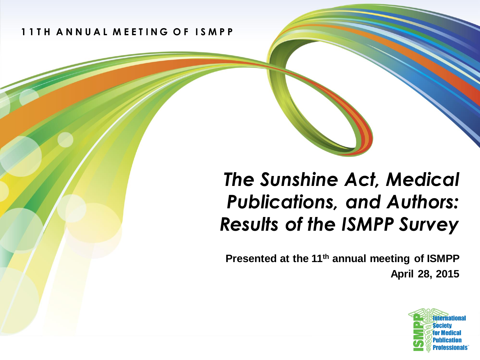**1 1 T H A N N U A L M E E T I N G O F I S M P P**

#### *The Sunshine Act, Medical Publications, and Authors: Results of the ISMPP Survey*

**Presented at the 11th annual meeting of ISMPP April 28, 2015**

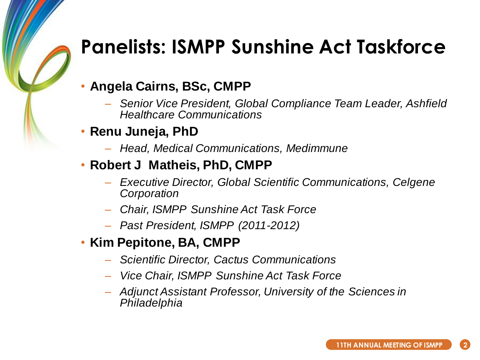### **Panelists: ISMPP Sunshine Act Taskforce**

- **Angela Cairns, BSc, CMPP**
	- *Senior Vice President, Global Compliance Team Leader, Ashfield Healthcare Communications*
- **Renu Juneja, PhD**
	- *Head, Medical Communications, Medimmune*
- **Robert J Matheis, PhD, CMPP**
	- *Executive Director, Global Scientific Communications, Celgene Corporation*
	- *Chair, ISMPP Sunshine Act Task Force*
	- *Past President, ISMPP (2011-2012)*
- **Kim Pepitone, BA, CMPP**
	- *Scientific Director, Cactus Communications*
	- *Vice Chair, ISMPP Sunshine Act Task Force*
	- *Adjunct Assistant Professor, University of the Sciences in Philadelphia*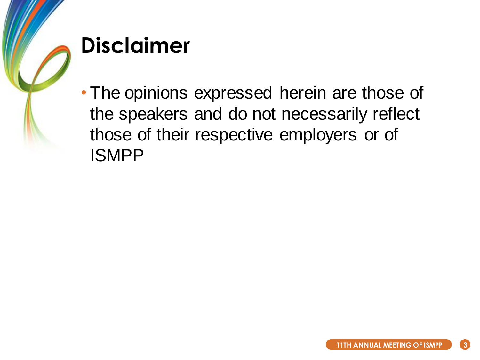

## **Disclaimer**

• The opinions expressed herein are those of the speakers and do not necessarily reflect those of their respective employers or of ISMPP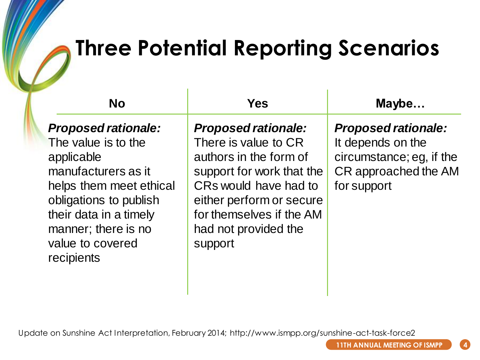# **Three Potential Reporting Scenarios**

| <b>No</b>                                                                                                                                                                                                                      | Yes                                                                                                                                                                                                                           | Maybe                                                                                                              |
|--------------------------------------------------------------------------------------------------------------------------------------------------------------------------------------------------------------------------------|-------------------------------------------------------------------------------------------------------------------------------------------------------------------------------------------------------------------------------|--------------------------------------------------------------------------------------------------------------------|
| <b>Proposed rationale:</b><br>The value is to the<br>applicable<br>manufacturers as it<br>helps them meet ethical<br>obligations to publish<br>their data in a timely<br>manner; there is no<br>value to covered<br>recipients | <b>Proposed rationale:</b><br>There is value to CR<br>authors in the form of<br>support for work that the<br>CRs would have had to<br>either perform or secure<br>for themselves if the AM<br>had not provided the<br>support | <b>Proposed rationale:</b><br>It depends on the<br>circumstance; eg, if the<br>CR approached the AM<br>for support |

Update on Sunshine Act Interpretation, February 2014; http://www.ismpp.org/sunshine-act-task-force2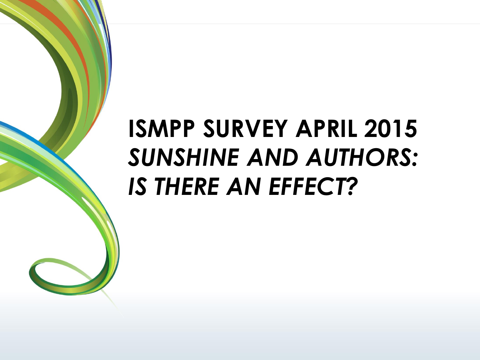# **ISMPP SURVEY APRIL 2015** *SUNSHINE AND AUTHORS: IS THERE AN EFFECT?*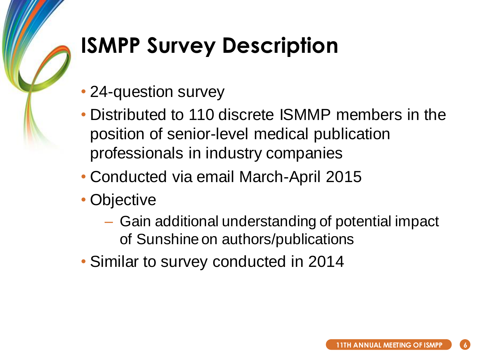# **ISMPP Survey Description**

- 24-question survey
- Distributed to 110 discrete ISMMP members in the position of senior-level medical publication professionals in industry companies
- Conducted via email March-April 2015
- Objective
	- Gain additional understanding of potential impact of Sunshine on authors/publications
- Similar to survey conducted in 2014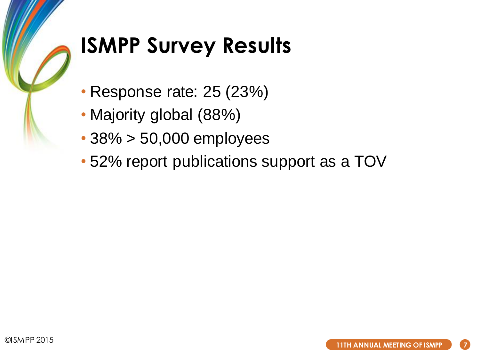

# **ISMPP Survey Results**

- Response rate: 25 (23%)
- Majority global (88%)
- 38% > 50,000 employees
- 52% report publications support as a TOV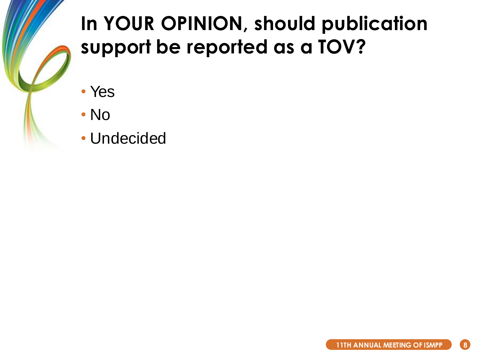## **In YOUR OPINION, should publication support be reported as a TOV?**

- Yes
- No
- Undecided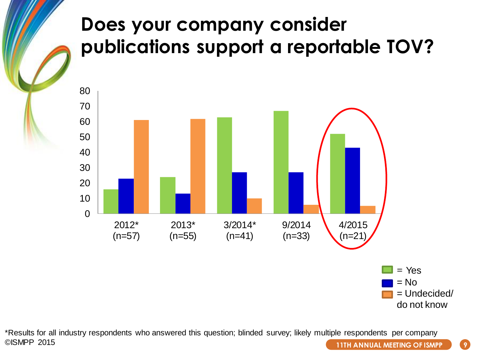#### **Does your company consider publications support a reportable TOV?**



\*Results for all industry respondents who answered this question; blinded survey; likely multiple respondents per company ©ISMPP 2015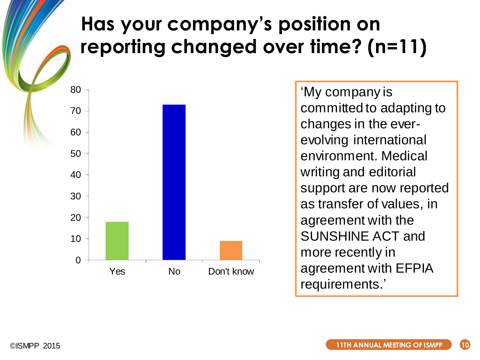### **Has your company's position on reporting changed over time? (n=11)**



'My company is committed to adapting to changes in the everevolving international environment. Medical writing and editorial support are now reported as transfer of values, in agreement with the SUNSHINE ACT and more recently in agreement with EFPIA requirements.'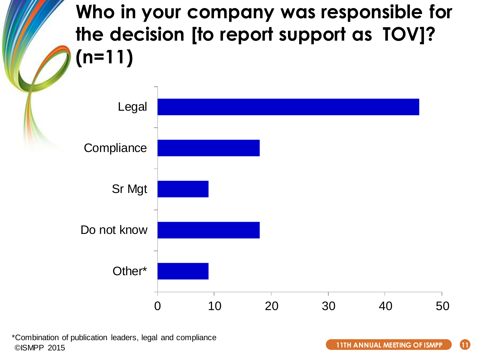**Who in your company was responsible for the decision [to report support as TOV]? (n=11)**



\*Combination of publication leaders, legal and compliance ©ISMPP 2015

**11TH ANNUAL MEETING OF ISMPP 11**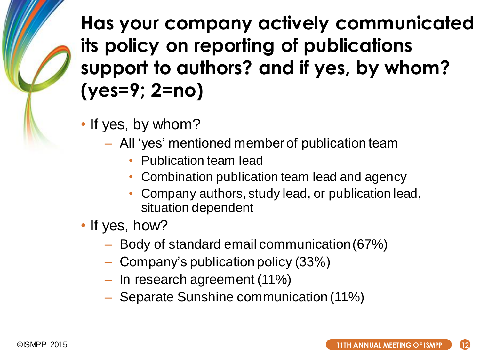**Has your company actively communicated its policy on reporting of publications support to authors? and if yes, by whom? (yes=9; 2=no)**

- If yes, by whom?
	- All 'yes' mentioned member of publication team
		- Publication team lead
		- Combination publication team lead and agency
		- Company authors, study lead, or publication lead, situation dependent
- If yes, how?
	- Body of standard email communication (67%)
	- Company's publication policy (33%)
	- In research agreement (11%)
	- Separate Sunshine communication (11%)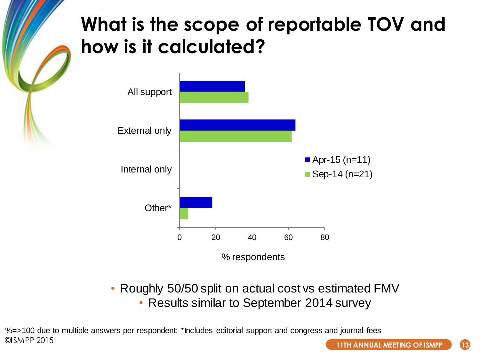#### **What is the scope of reportable TOV and how is it calculated?**



• Roughly 50/50 split on actual cost vs estimated FMV • Results similar to September 2014 survey

©ISMPP 2015 %=>100 due to multiple answers per respondent; \*Includes editorial support and congress and journal fees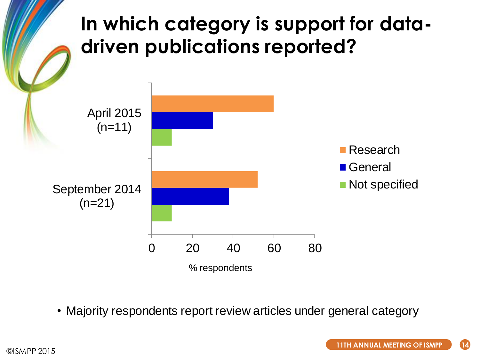

• Majority respondents report review articles under general category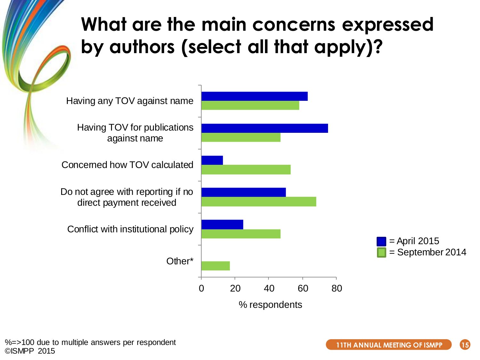#### **What are the main concerns expressed by authors (select all that apply)?**